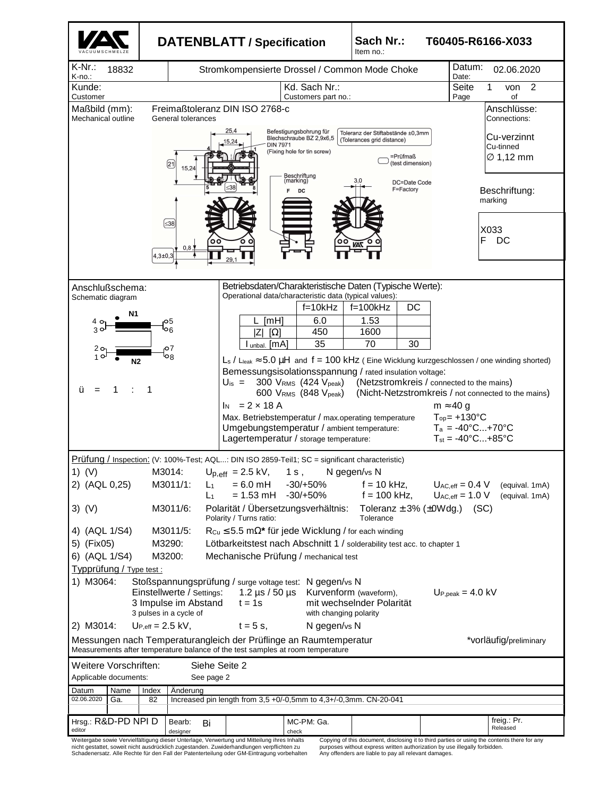|                                                                                                                                                                                                                                                                                                                                |                                                                                                                                                                     |                                                                                                                                  | <b>DATENBLATT / Specification</b>             |                                                                                                                                                                                                                                                   | Sach Nr.:<br>T60405-R6166-X033<br>Item no.:                                                           |  |                                                                                                                                                                             |  |  |
|--------------------------------------------------------------------------------------------------------------------------------------------------------------------------------------------------------------------------------------------------------------------------------------------------------------------------------|---------------------------------------------------------------------------------------------------------------------------------------------------------------------|----------------------------------------------------------------------------------------------------------------------------------|-----------------------------------------------|---------------------------------------------------------------------------------------------------------------------------------------------------------------------------------------------------------------------------------------------------|-------------------------------------------------------------------------------------------------------|--|-----------------------------------------------------------------------------------------------------------------------------------------------------------------------------|--|--|
| $K-Nr$ .:<br>18832<br>K-no.:                                                                                                                                                                                                                                                                                                   |                                                                                                                                                                     |                                                                                                                                  | Stromkompensierte Drossel / Common Mode Choke |                                                                                                                                                                                                                                                   |                                                                                                       |  | Datum:<br>02.06.2020<br>Date:                                                                                                                                               |  |  |
| Kunde:                                                                                                                                                                                                                                                                                                                         |                                                                                                                                                                     |                                                                                                                                  |                                               | Kd. Sach Nr.:                                                                                                                                                                                                                                     |                                                                                                       |  | $\overline{2}$<br>1<br>Seite<br>von                                                                                                                                         |  |  |
| Customer<br>Maßbild (mm):<br>Mechanical outline                                                                                                                                                                                                                                                                                |                                                                                                                                                                     | General tolerances                                                                                                               | Freimaßtoleranz DIN ISO 2768-c                | Customers part no.:                                                                                                                                                                                                                               |                                                                                                       |  | Page<br>οf<br>Anschlüsse:<br>Connections:                                                                                                                                   |  |  |
|                                                                                                                                                                                                                                                                                                                                |                                                                                                                                                                     | ☎<br>15,24                                                                                                                       | 25,4<br>5,24<br><b>DIN 7971</b>               | Befestigungsbohrung für<br>Blechschraube BZ 2,9x6,5<br>(Fixing hole for tin screw)                                                                                                                                                                | Toleranz der Stiftabstände ±0,3mm<br>(Tolerances grid distance)<br>=Prüfmaß<br>(test dimension)       |  | Cu-verzinnt<br>Cu-tinned<br>$\varnothing$ 1,12 mm                                                                                                                           |  |  |
|                                                                                                                                                                                                                                                                                                                                |                                                                                                                                                                     |                                                                                                                                  |                                               | Beschriftung<br>(marking)<br>F<br>DC                                                                                                                                                                                                              | DC=Date Code<br>F=Factory                                                                             |  | Beschriftung:<br>marking                                                                                                                                                    |  |  |
|                                                                                                                                                                                                                                                                                                                                | $4.3 + 0.3$                                                                                                                                                         | $\leq 38$<br>٥o<br>0,8.                                                                                                          |                                               |                                                                                                                                                                                                                                                   |                                                                                                       |  | X033<br>F<br>DC                                                                                                                                                             |  |  |
| Anschlußschema:<br>Schematic diagram<br>Ν1<br>40<br>30                                                                                                                                                                                                                                                                         |                                                                                                                                                                     | 5م<br>6                                                                                                                          | [MH]<br>ΙZ<br>$\Omega$                        | Operational data/characteristic data (typical values):<br>$f=10kHz$<br>6.0<br>450                                                                                                                                                                 | Betriebsdaten/Charakteristische Daten (Typische Werte):<br>DC<br>$f = 100k$ Hz<br>1.53<br>1600        |  |                                                                                                                                                                             |  |  |
| 20<br>N <sub>2</sub>                                                                                                                                                                                                                                                                                                           |                                                                                                                                                                     | 07<br>og                                                                                                                         | $l$ unbal. $[mA]$                             | 35                                                                                                                                                                                                                                                | 70<br>30                                                                                              |  | $L_s$ / $L_{leak} \approx 5.0 \mu H$ and $f = 100 \text{ kHz}$ (Eine Wicklung kurzgeschlossen / one winding shorted)                                                        |  |  |
| ü<br>$=$                                                                                                                                                                                                                                                                                                                       |                                                                                                                                                                     |                                                                                                                                  | $I_N = 2 \times 18 A$                         | $U_{\text{is}} = 300 \text{ V}_{\text{RMS}} (424 \text{ V}_{\text{peak}})$<br>600 VRMS (848 Vpeak)<br>Max. Betriebstemperatur / max.operating temperature<br>Umgebungstemperatur / ambient temperature:<br>Lagertemperatur / storage temperature: | Bemessungsisolationsspannung / rated insulation voltage:<br>(Netzstromkreis / connected to the mains) |  | (Nicht-Netzstromkreis / not connected to the mains)<br>$m \approx 40 g$<br>$Top = +130^{\circ}C$<br>$T_a = -40^{\circ}C+70^{\circ}C$<br>$T_{st} = -40^{\circ}C+85^{\circ}C$ |  |  |
| Prüfung / Inspection: (V: 100%-Test; AQL: DIN ISO 2859-Teil1; SC = significant characteristic)                                                                                                                                                                                                                                 |                                                                                                                                                                     |                                                                                                                                  |                                               |                                                                                                                                                                                                                                                   |                                                                                                       |  |                                                                                                                                                                             |  |  |
| 1) $(V)$<br>2) (AQL 0,25)                                                                                                                                                                                                                                                                                                      |                                                                                                                                                                     | M3011/1:<br>$L_1$<br>L1                                                                                                          | $= 6.0$ mH<br>$= 1.53$ mH $-30/+50%$          | M3014: $U_{p,eff} = 2.5 \text{ kV}, 1 \text{ s}, N \text{ gegen/s} \text{ N}$<br>$-30/+50%$                                                                                                                                                       | $f = 10$ kHz,<br>$f = 100$ kHz,                                                                       |  | $U_{AC,eff} = 0.4 V$<br>(equival. 1mA)<br>$U_{AC,eff} = 1.0 V$<br>(equival. 1mA)                                                                                            |  |  |
| $3)$ (V)                                                                                                                                                                                                                                                                                                                       |                                                                                                                                                                     | Polarität / Übersetzungsverhältnis:<br>Toleranz $\pm$ 3% ( $\pm$ 0Wdg.) (SC)<br>M3011/6:<br>Polarity / Turns ratio:<br>Tolerance |                                               |                                                                                                                                                                                                                                                   |                                                                                                       |  |                                                                                                                                                                             |  |  |
| 4) (AQL 1/S4)<br>5) (Fix05)                                                                                                                                                                                                                                                                                                    | M3011/5:<br>$R_{Cu} \le 5.5$ m $\Omega^*$ für jede Wicklung / for each winding<br>M3290:<br>Lötbarkeitstest nach Abschnitt 1 / solderability test acc. to chapter 1 |                                                                                                                                  |                                               |                                                                                                                                                                                                                                                   |                                                                                                       |  |                                                                                                                                                                             |  |  |
| 6) (AQL 1/S4)<br>M3200:<br>Mechanische Prüfung / mechanical test                                                                                                                                                                                                                                                               |                                                                                                                                                                     |                                                                                                                                  |                                               |                                                                                                                                                                                                                                                   |                                                                                                       |  |                                                                                                                                                                             |  |  |
| Typprüfung / Type test :<br>1) M3064:<br>Stoßspannungsprüfung / surge voltage test: N gegen/vs N<br>1.2 $\mu$ s / 50 $\mu$ s<br>Einstellwerte / Settings:<br>Kurvenform (waveform),<br>$Up,peak = 4.0 kV$<br>3 Impulse im Abstand<br>$t = 1s$<br>mit wechselnder Polarität<br>3 pulses in a cycle of<br>with changing polarity |                                                                                                                                                                     |                                                                                                                                  |                                               |                                                                                                                                                                                                                                                   |                                                                                                       |  |                                                                                                                                                                             |  |  |
| 2) M3014:<br>$U_{P,eff} = 2.5$ kV,<br>$t = 5$ s,<br>N gegen/vs N<br>Messungen nach Temperaturangleich der Prüflinge an Raumtemperatur<br>*vorläufig/preliminary                                                                                                                                                                |                                                                                                                                                                     |                                                                                                                                  |                                               |                                                                                                                                                                                                                                                   |                                                                                                       |  |                                                                                                                                                                             |  |  |
| Measurements after temperature balance of the test samples at room temperature<br>Weitere Vorschriften:<br>Siehe Seite 2                                                                                                                                                                                                       |                                                                                                                                                                     |                                                                                                                                  |                                               |                                                                                                                                                                                                                                                   |                                                                                                       |  |                                                                                                                                                                             |  |  |
| Applicable documents:<br>See page 2                                                                                                                                                                                                                                                                                            |                                                                                                                                                                     |                                                                                                                                  |                                               |                                                                                                                                                                                                                                                   |                                                                                                       |  |                                                                                                                                                                             |  |  |
| Datum<br>Name<br>Index<br>Anderung<br>02.06.2020<br>Increased pin length from 3,5 +0/-0,5mm to 4,3+/-0,3mm. CN-20-041<br>Ga.<br>82                                                                                                                                                                                             |                                                                                                                                                                     |                                                                                                                                  |                                               |                                                                                                                                                                                                                                                   |                                                                                                       |  |                                                                                                                                                                             |  |  |
| Hrsg.: R&D-PD NPI D<br>editor                                                                                                                                                                                                                                                                                                  |                                                                                                                                                                     | Bearb:<br>Bi<br>designer                                                                                                         |                                               | MC-PM: Ga.<br>check                                                                                                                                                                                                                               |                                                                                                       |  | freig.: Pr.<br>Released                                                                                                                                                     |  |  |
| Weitergabe sowie Vervielfältigung dieser Unterlage, Verwertung und Mitteilung ihres Inhalts                                                                                                                                                                                                                                    |                                                                                                                                                                     |                                                                                                                                  |                                               |                                                                                                                                                                                                                                                   |                                                                                                       |  | Copying of this document, disclosing it to third parties or using the contents there for any                                                                                |  |  |

Weitergabe sowie Vervielfältigung dieser Unterlage, Verwertung und Mitteilung ihres Inhalts<br>nicht gestattet, soweit nicht ausdrücklich zugestanden. Zuwiderhandlungen verpflichten zu<br>Schadenersatz. Alle Rechte für den Fall

Copying of this document, disclosing it to third parties or using the contents there for any purposes without express written authorization by use illegally forbidden. Any offenders are liable to pay all relevant damages.